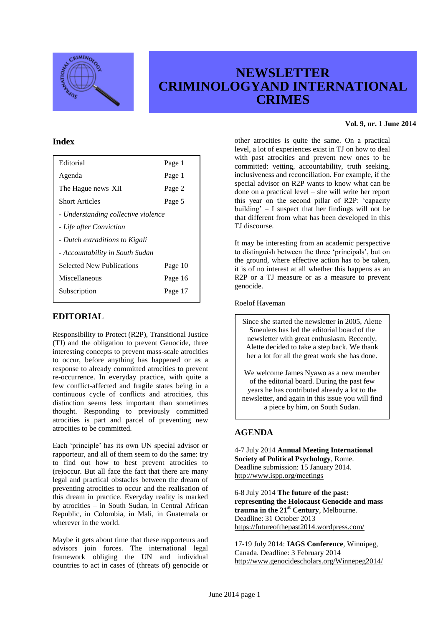

# $NEWSLETTER$ **CRIMINOLOGYAND INTERNATIONAL CRIMES**

#### **Vol. 9, nr. 1 June 2014**

# **Index**

| Editorial                           | Page 1  |
|-------------------------------------|---------|
| Agenda                              | Page 1  |
| The Hague news XII                  | Page 2  |
| <b>Short Articles</b>               | Page 5  |
| - Understanding collective violence |         |
| - Life after Conviction             |         |
| - Dutch extraditions to Kigali      |         |
| - Accountability in South Sudan     |         |
| <b>Selected New Publications</b>    | Page 10 |
| Miscellaneous                       | Page 16 |
| Subscription                        | Page 17 |

# **EDITORIAL**

Responsibility to Protect (R2P), Transitional Justice (TJ) and the obligation to prevent Genocide, three interesting concepts to prevent mass-scale atrocities to occur, before anything has happened or as a response to already committed atrocities to prevent re-occurrence. In everyday practice, with quite a few conflict-affected and fragile states being in a continuous cycle of conflicts and atrocities, this distinction seems less important than sometimes thought. Responding to previously committed atrocities is part and parcel of preventing new atrocities to be committed.

Each 'principle' has its own UN special advisor or rapporteur, and all of them seem to do the same: try to find out how to best prevent atrocities to (re)occur. But all face the fact that there are many legal and practical obstacles between the dream of preventing atrocities to occur and the realisation of this dream in practice. Everyday reality is marked by atrocities – in South Sudan, in Central African Republic, in Colombia, in Mali, in Guatemala or wherever in the world.

Maybe it gets about time that these rapporteurs and advisors join forces. The international legal framework obliging the UN and individual countries to act in cases of (threats of) genocide or

other atrocities is quite the same. On a practical level, a lot of experiences exist in TJ on how to deal with past atrocities and prevent new ones to be committed: vetting, accountability, truth seeking, inclusiveness and reconciliation. For example, if the special advisor on R2P wants to know what can be done on a practical level – she will write her report this year on the second pillar of R2P: 'capacity building' – I suspect that her findings will not be that different from what has been developed in this TJ discourse.

It may be interesting from an academic perspective to distinguish between the three 'principals', but on the ground, where effective action has to be taken, it is of no interest at all whether this happens as an R2P or a TJ measure or as a measure to prevent genocide.

Roelof Haveman

 $\sf{l}$ 

Since she started the newsletter in 2005, Alette Smeulers has led the editorial board of the newsletter with great enthusiasm. Recently, Alette decided to take a step back. We thank her a lot for all the great work she has done.

We welcome James Nyawo as a new member of the editorial board. During the past few years he has contributed already a lot to the newsletter, and again in this issue you will find a piece by him, on South Sudan.

# **AGENDA**

4-7 July 2014 **Annual Meeting International Society of Political Psychology**, Rome. Deadline submission: 15 January 2014. <http://www.ispp.org/meetings>

6-8 July 2014 **The future of the past: representing the Holocaust Genocide and mass trauma in the 21st Century**, Melbourne. Deadline: 31 October 2013 <https://futureofthepast2014.wordpress.com/>

17-19 July 2014: **IAGS Conference**, Winnipeg, Canada. Deadline: 3 February 2014 <http://www.genocidescholars.org/Winnepeg2014/>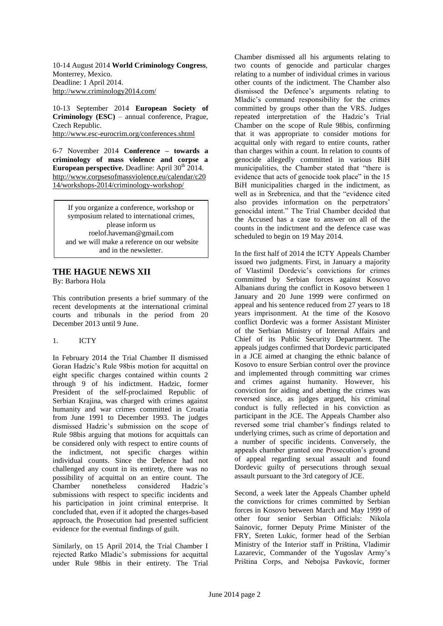10-14 August 2014 **World Criminology Congress**, Monterrey, Mexico. Deadline: 1 April 2014. <http://www.criminology2014.com/>

10-13 September 2014 **European Society of Criminology (ESC)** – annual conference, Prague, Czech Republic. <http://www.esc-eurocrim.org/conferences.shtml>

6-7 November 2014 **Conference – towards a criminology of mass violence and corpse a European perspective.** Deadline: April 30<sup>th</sup> 2014. [http://www.corpsesofmassviolence.eu/calendar/c20](http://www.corpsesofmassviolence.eu/calendar/c2014/workshops-2014/criminology-workshop/) [14/workshops-2014/criminology-workshop/](http://www.corpsesofmassviolence.eu/calendar/c2014/workshops-2014/criminology-workshop/)

If you organize a conference, workshop or symposium related to international crimes, please inform us roelof.haveman@gmail.com and we will make a reference on our website and in the newsletter.

#### **THE HAGUE NEWS XII** By: Barbora Hola

This contribution presents a brief summary of the recent developments at the international criminal courts and tribunals in the period from 20 December 2013 until 9 June.

## 1. ICTY

In February 2014 the Trial Chamber II dismissed Goran Hadzic's Rule 98bis motion for acquittal on eight specific charges contained within counts 2 through 9 of his indictment. Hadzic, former President of the self-proclaimed Republic of Serbian Krajina, was charged with crimes against humanity and war crimes committed in Croatia from June 1991 to December 1993. The judges dismissed Hadzic's submission on the scope of Rule 98bis arguing that motions for acquittals can be considered only with respect to entire counts of the indictment, not specific charges within individual counts. Since the Defence had not challenged any count in its entirety, there was no possibility of acquittal on an entire count. The Chamber nonetheless considered Hadzic's submissions with respect to specific incidents and his participation in joint criminal enterprise. It concluded that, even if it adopted the charges-based approach, the Prosecution had presented sufficient evidence for the eventual findings of guilt.

Similarly, on 15 April 2014, the Trial Chamber I rejected Ratko Mladic's submissions for acquittal under Rule 98bis in their entirety. The Trial Chamber dismissed all his arguments relating to two counts of genocide and particular charges relating to a number of individual crimes in various other counts of the indictment. The Chamber also dismissed the Defence's arguments relating to Mladic's command responsibility for the crimes committed by groups other than the VRS. Judges repeated interpretation of the Hadzic's Trial Chamber on the scope of Rule 98bis, confirming that it was appropriate to consider motions for acquittal only with regard to entire counts, rather than charges within a count. In relation to counts of genocide allegedly committed in various BiH municipalities, the Chamber stated that "there is evidence that acts of genocide took place" in the 15 BiH municipalities charged in the indictment, as well as in Srebrenica, and that the "evidence cited also provides information on the perpetrators' genocidal intent." The Trial Chamber decided that the Accused has a case to answer on all of the counts in the indictment and the defence case was scheduled to begin on 19 May 2014.

In the first half of 2014 the ICTY Appeals Chamber issued two judgments. First, in January a majority of Vlastimil Dordevic's convictions for crimes committed by Serbian forces against Kosovo Albanians during the conflict in Kosovo between 1 January and 20 June 1999 were confirmed on appeal and his sentence reduced from 27 years to 18 years imprisonment. At the time of the Kosovo conflict Dordevic was a former Assistant Minister of the Serbian Ministry of Internal Affairs and Chief of its Public Security Department. The appeals judges confirmed that Dordevic participated in a JCE aimed at changing the ethnic balance of Kosovo to ensure Serbian control over the province and implemented through committing war crimes and crimes against humanity. However, his conviction for aiding and abetting the crimes was reversed since, as judges argued, his criminal conduct is fully reflected in his conviction as participant in the JCE. The Appeals Chamber also reversed some trial chamber's findings related to underlying crimes, such as crime of deportation and a number of specific incidents. Conversely, the appeals chamber granted one Prosecution's ground of appeal regarding sexual assault and found Dordevic guilty of persecutions through sexual assault pursuant to the 3rd category of JCE.

Second, a week later the Appeals Chamber upheld the convictions for crimes committed by Serbian forces in Kosovo between March and May 1999 of other four senior Serbian Officials: Nikola Sainovic, former Deputy Prime Minister of the FRY, Sreten Lukic, former head of the Serbian Ministry of the Interior staff in Priština, Vladimir Lazarevic, Commander of the Yugoslav Army's Priština Corps, and Nebojsa Pavkovic, former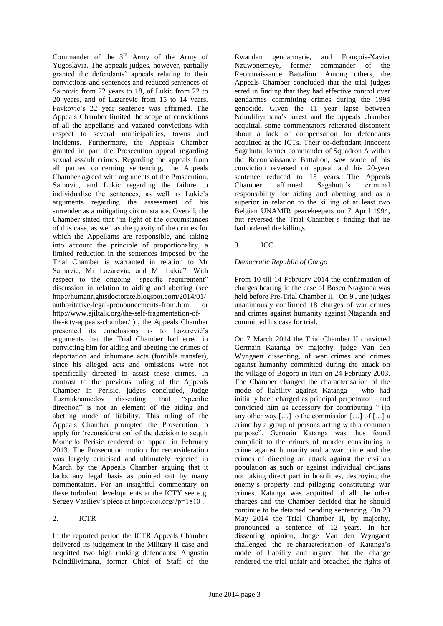Commander of the  $3<sup>rd</sup>$  Army of the Army of Yugoslavia. The appeals judges, however, partially granted the defendants' appeals relating to their convictions and sentences and reduced sentences of Sainovic from 22 years to 18, of Lukic from 22 to 20 years, and of Lazarevic from 15 to 14 years. Pavkovic's 22 year sentence was affirmed. The Appeals Chamber limited the scope of convictions of all the appellants and vacated convictions with respect to several municipalities, towns and incidents. Furthermore, the Appeals Chamber granted in part the Prosecution appeal regarding sexual assault crimes. Regarding the appeals from all parties concerning sentencing, the Appeals Chamber agreed with arguments of the Prosecution, Sainovic, and Lukic regarding the failure to individualise the sentences, as well as Lukic's arguments regarding the assessment of his surrender as a mitigating circumstance. Overall, the Chamber stated that "in light of the circumstances of this case, as well as the gravity of the crimes for which the Appellants are responsible, and taking into account the principle of proportionality, a limited reduction in the sentences imposed by the Trial Chamber is warranted in relation to Mr Sainovic, Mr Lazarevic, and Mr Lukic". With respect to the ongoing "specific requirement" discussion in relation to aiding and abetting (see http://humanrightsdoctorate.blogspot.com/2014/01/ authoritative-legal-pronouncements-from.html or http://www.ejiltalk.org/the-self-fragmentation-of-

the-icty-appeals-chamber/ ) , the Appeals Chamber presented its conclusions as to Lazarević's arguments that the Trial Chamber had erred in convicting him for aiding and abetting the crimes of deportation and inhumane acts (forcible transfer), since his alleged acts and omissions were not specifically directed to assist these crimes. In contrast to the previous ruling of the Appeals Chamber in Perisic, judges concluded, Judge Tuzmukhamedov dissenting, that "specific direction" is not an element of the aiding and abetting mode of liability. This ruling of the Appeals Chamber prompted the Prosecution to apply for 'reconsideration' of the decision to acquit Momcilo Perisic rendered on appeal in February 2013. The Prosecution motion for reconsideration was largely criticised and ultimately rejected in March by the Appeals Chamber arguing that it lacks any legal basis as pointed out by many commentators. For an insightful commentary on these turbulent developments at the ICTY see e.g. Sergey Vasiliev's piece at http://cicj.org/?p=1810 .

## 2. ICTR

In the reported period the ICTR Appeals Chamber delivered its judgement in the Military II case and acquitted two high ranking defendants: Augustin Ndindiliyimana, former Chief of Staff of the

Rwandan gendarmerie, and François-Xavier Nzuwonemeye, former commander of the Reconnaissance Battalion. Among others, the Appeals Chamber concluded that the trial judges erred in finding that they had effective control over gendarmes committing crimes during the 1994 genocide. Given the 11 year lapse between Ndindiliyimana's arrest and the appeals chamber acquittal, some commentators reiterated discontent about a lack of compensation for defendants acquitted at the ICTs. Their co-defendant Innocent Sagahutu, former commander of Squadron A within the Reconnaissance Battalion, saw some of his conviction reversed on appeal and his 20-year sentence reduced to 15 years. The Appeals Chamber affirmed Sagahutu's criminal responsibility for aiding and abetting and as a superior in relation to the killing of at least two Belgian UNAMIR peacekeepers on 7 April 1994, but reversed the Trial Chamber's finding that he had ordered the killings.

3. ICC

## *Democratic Republic of Congo*

From 10 till 14 February 2014 the confirmation of charges hearing in the case of Bosco Ntaganda was held before Pre-Trial Chamber II. On 9 June judges unanimously confirmed 18 charges of war crimes and crimes against humanity against Ntaganda and committed his case for trial.

On 7 March 2014 the Trial Chamber II convicted Germain Katanga by majority, judge Van den Wyngaert dissenting, of war crimes and crimes against humanity committed during the attack on the village of Bogoro in Ituri on 24 February 2003. The Chamber changed the characterisation of the mode of liability against Katanga – who had initially been charged as principal perpetrator – and convicted him as accessory for contributing "[i]n any other way  $[\dots]$  to the commission  $[\dots]$  of  $[\dots]$  a crime by a group of persons acting with a common purpose". Germain Katanga was thus found complicit to the crimes of murder constituting a crime against humanity and a war crime and the crimes of directing an attack against the civilian population as such or against individual civilians not taking direct part in hostilities, destroying the enemy's property and pillaging constituting war crimes. Katanga was acquitted of all the other charges and the Chamber decided that he should continue to be detained pending sentencing. On 23 May 2014 the Trial Chamber II, by majority, pronounced a sentence of 12 years. In her dissenting opinion, Judge Van den Wyngaert challenged the re-characterisation of Katanga's mode of liability and argued that the change rendered the trial unfair and breached the rights of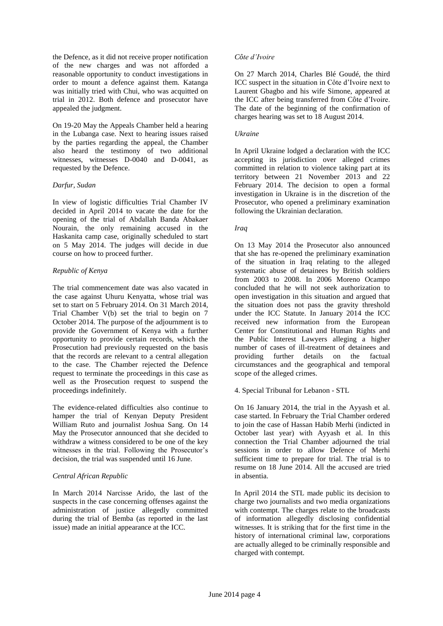the Defence, as it did not receive proper notification of the new charges and was not afforded a reasonable opportunity to conduct investigations in order to mount a defence against them. Katanga was initially tried with Chui, who was acquitted on trial in 2012. Both defence and prosecutor have appealed the judgment.

On 19-20 May the Appeals Chamber held a hearing in the Lubanga case. Next to hearing issues raised by the parties regarding the appeal, the Chamber also heard the testimony of two additional witnesses, witnesses D-0040 and D-0041, as requested by the Defence.

#### *Darfur, Sudan*

In view of logistic difficulties Trial Chamber IV decided in April 2014 to vacate the date for the opening of the trial of Abdallah Banda Abakaer Nourain, the only remaining accused in the Haskanita camp case, originally scheduled to start on 5 May 2014. The judges will decide in due course on how to proceed further.

#### *Republic of Kenya*

The trial commencement date was also vacated in the case against Uhuru Kenyatta, whose trial was set to start on 5 February 2014. On 31 March 2014, Trial Chamber V(b) set the trial to begin on 7 October 2014. The purpose of the adjournment is to provide the Government of Kenya with a further opportunity to provide certain records, which the Prosecution had previously requested on the basis that the records are relevant to a central allegation to the case. The Chamber rejected the Defence request to terminate the proceedings in this case as well as the Prosecution request to suspend the proceedings indefinitely.

The evidence-related difficulties also continue to hamper the trial of Kenyan Deputy President William Ruto and journalist Joshua Sang. On 14 May the Prosecutor announced that she decided to withdraw a witness considered to be one of the key witnesses in the trial. Following the Prosecutor's decision, the trial was suspended until 16 June.

#### *Central African Republic*

In March 2014 Narcisse Arido, the last of the suspects in the case concerning offenses against the administration of justice allegedly committed during the trial of Bemba (as reported in the last issue) made an initial appearance at the ICC.

#### *Côte d'Ivoire*

On 27 March 2014, Charles Blé Goudé, the third ICC suspect in the situation in Côte d'Ivoire next to Laurent Gbagbo and his wife Simone, appeared at the ICC after being transferred from Côte d'Ivoire. The date of the beginning of the confirmation of charges hearing was set to 18 August 2014.

#### *Ukraine*

In April Ukraine lodged a declaration with the ICC accepting its jurisdiction over alleged crimes committed in relation to violence taking part at its territory between 21 November 2013 and 22 February 2014. The decision to open a formal investigation in Ukraine is in the discretion of the Prosecutor, who opened a preliminary examination following the Ukrainian declaration.

#### *Iraq*

On 13 May 2014 the Prosecutor also announced that she has re-opened the preliminary examination of the situation in Iraq relating to the alleged systematic abuse of detainees by British soldiers from 2003 to 2008. In 2006 Moreno Ocampo concluded that he will not seek authorization to open investigation in this situation and argued that the situation does not pass the gravity threshold under the ICC Statute. In January 2014 the ICC received new information from the European Center for Constitutional and Human Rights and the Public Interest Lawyers alleging a higher number of cases of ill-treatment of detainees and providing further details on the factual circumstances and the geographical and temporal scope of the alleged crimes.

4. Special Tribunal for Lebanon - STL

On 16 January 2014, the trial in the Ayyash et al. case started. In February the Trial Chamber ordered to join the case of Hassan Habib Merhi (indicted in October last year) with Ayyash et al. In this connection the Trial Chamber adjourned the trial sessions in order to allow Defence of Merhi sufficient time to prepare for trial. The trial is to resume on 18 June 2014. All the accused are tried in absentia.

In April 2014 the STL made public its decision to charge two journalists and two media organizations with contempt. The charges relate to the broadcasts of information allegedly disclosing confidential witnesses. It is striking that for the first time in the history of international criminal law, corporations are actually alleged to be criminally responsible and charged with contempt.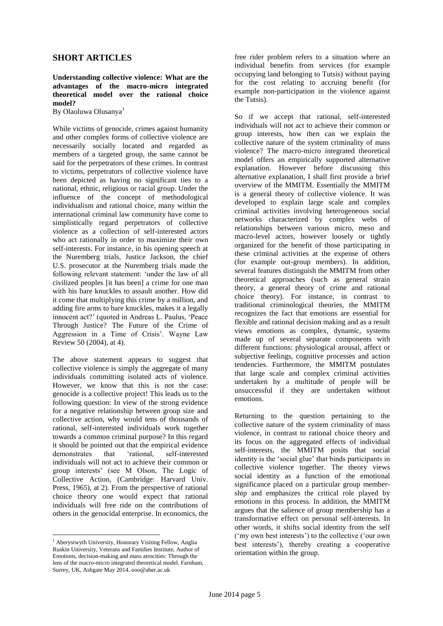# **SHORT ARTICLES**

#### **Understanding collective violence: What are the advantages of the macro-micro integrated theoretical model over the rational choice model?**

By Olaoluwa Olusanya<sup>1</sup>

While victims of genocide, crimes against humanity and other complex forms of collective violence are necessarily socially located and regarded as members of a targeted group, the same cannot be said for the perpetrators of these crimes. In contrast to victims, perpetrators of collective violence have been depicted as having no significant ties to a national, ethnic, religious or racial group. Under the influence of the concept of methodological individualism and rational choice, many within the international criminal law community have come to simplistically regard perpetrators of collective violence as a collection of self-interested actors who act rationally in order to maximize their own self-interests. For instance, in his opening speech at the Nuremberg trials, Justice Jackson, the chief U.S. prosecutor at the Nuremberg trials made the following relevant statement: 'under the law of all civilized peoples [it has been] a crime for one man with his bare knuckles to assault another. How did it come that multiplying this crime by a million, and adding fire arms to bare knuckles, makes it a legally innocent act?' (quoted in Andreas L. Paulus, 'Peace Through Justice? The Future of the Crime of Aggression in a Time of Crisis'. Wayne Law Review 50 (2004), at 4).

The above statement appears to suggest that collective violence is simply the aggregate of many individuals committing isolated acts of violence. However, we know that this is not the case: genocide is a collective project! This leads us to the following question: In view of the strong evidence for a negative relationship between group size and collective action, why would tens of thousands of rational, self-interested individuals work together towards a common criminal purpose? In this regard it should be pointed out that the empirical evidence demonstrates that 'rational self-interested individuals will not act to achieve their common or group interests' (see M Olson, The Logic of Collective Action, (Cambridge: Harvard Univ. Press, 1965), at 2). From the perspective of rational choice theory one would expect that rational individuals will free ride on the contributions of others in the genocidal enterprise. In economics, the

-

free rider problem refers to a situation where an individual benefits from services (for example occupying land belonging to Tutsis) without paying for the cost relating to accruing benefit (for example non-participation in the violence against the Tutsis).

So if we accept that rational, self-interested individuals will not act to achieve their common or group interests, how then can we explain the collective nature of the system criminality of mass violence? The macro-micro integrated theoretical model offers an empirically supported alternative explanation. However before discussing this alternative explanation, I shall first provide a brief overview of the MMITM. Essentially the MMITM is a general theory of collective violence. It was developed to explain large scale and complex criminal activities involving heterogeneous social networks characterized by complex webs of relationships between various micro, meso and macro-level actors, however loosely or tightly organized for the benefit of those participating in these criminal activities at the expense of others (for example out-group members). In addition, several features distinguish the MMITM from other theoretical approaches (such as general strain theory, a general theory of crime and rational choice theory). For instance, in contrast to traditional criminological theories, the MMITM recognizes the fact that emotions are essential for flexible and rational decision making and as a result views emotions as complex, dynamic, systems made up of several separate components with different functions: physiological arousal, affect or subjective feelings, cognitive processes and action tendencies. Furthermore, the MMITM postulates that large scale and complex criminal activities undertaken by a multitude of people will be unsuccessful if they are undertaken without emotions.

Returning to the question pertaining to the collective nature of the system criminality of mass violence, in contrast to rational choice theory and its focus on the aggregated effects of individual self-interests, the MMITM posits that social identity is the 'social glue' that binds participants in collective violence together. The theory views social identity as a function of the emotional significance placed on a particular group membership and emphasizes the critical role played by emotions in this process. In addition, the MMITM argues that the salience of group membership has a transformative effect on personal self-interests. In other words, it shifts social identity from the self ('my own best interests') to the collective ('our own best interests'), thereby creating a cooperative orientation within the group.

<sup>&</sup>lt;sup>1</sup> Aberystwyth University, Honorary Visiting Fellow, Anglia Ruskin University, Veterans and Families Institute, Author of Emotions, decision-making and mass atrocities: Through the lens of the macro-micro integrated theoretical model. Farnham, Surrey, UK, Ashgate May 2014. ooo@aber.ac.uk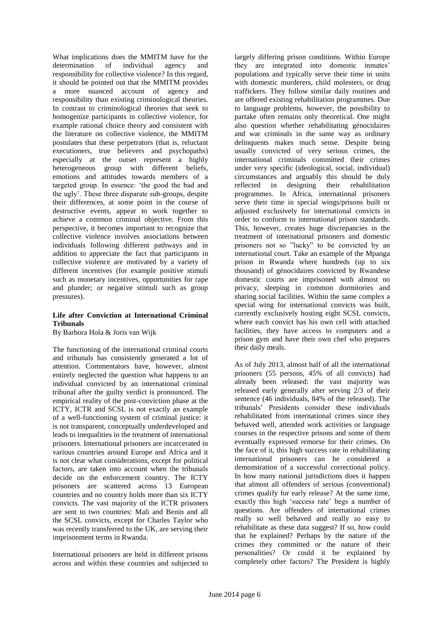What implications does the MMITM have for the determination of individual agency and responsibility for collective violence? In this regard, it should be pointed out that the MMITM provides a more nuanced account of agency and responsibility than existing criminological theories. In contrast to criminological theories that seek to homogenize participants in collective violence, for example rational choice theory and consistent with the literature on collective violence, the MMITM postulates that these perpetrators (that is, reluctant executioners, true believers and psychopaths) especially at the outset represent a highly heterogeneous group with different beliefs, emotions and attitudes towards members of a targeted group. In essence: 'the good the bad and the ugly'. These three disparate sub-groups, despite their differences, at some point in the course of destructive events, appear to work together to achieve a common criminal objective. From this perspective, it becomes important to recognize that collective violence involves associations between individuals following different pathways and in addition to appreciate the fact that participants in collective violence are motivated by a variety of different incentives (for example positive stimuli such as monetary incentives, opportunities for rape and plunder; or negative stimuli such as group pressures).

#### **Life after Conviction at International Criminal Tribunals**

By Barbora Hola & Joris van Wijk

The functioning of the international criminal courts and tribunals has consistently generated a lot of attention. Commentators have, however, almost entirely neglected the question what happens to an individual convicted by an international criminal tribunal after the guilty verdict is pronounced. The empirical reality of the post-conviction phase at the ICTY, ICTR and SCSL is not exactly an example of a well-functioning system of criminal justice: it is not transparent, conceptually underdeveloped and leads to inequalities in the treatment of international prisoners. International prisoners are incarcerated in various countries around Europe and Africa and it is not clear what considerations, except for political factors, are taken into account when the tribunals decide on the enforcement country. The ICTY prisoners are scattered across 13 European countries and no country holds more than six ICTY convicts. The vast majority of the ICTR prisoners are sent to two countries: Mali and Benin and all the SCSL convicts, except for Charles Taylor who was recently transferred to the UK, are serving their imprisonment terms in Rwanda.

International prisoners are held in different prisons across and within these countries and subjected to

largely differing prison conditions. Within Europe they are integrated into domestic inmates' populations and typically serve their time in units with domestic murderers, child molesters, or drug traffickers. They follow similar daily routines and are offered existing rehabilitation programmes. Due to language problems, however, the possibility to partake often remains only theoretical. One might also question whether rehabilitating génocidaires and war criminals in the same way as ordinary delinquents makes much sense. Despite being usually convicted of very serious crimes, the international criminals committed their crimes under very specific (ideological, social, individual) circumstances and arguably this should be duly reflected in designing their rehabilitation programmes. In Africa, international prisoners serve their time in special wings/prisons built or adjusted exclusively for international convicts in order to conform to international prison standards. This, however, creates huge discrepancies in the treatment of international prisoners and domestic prisoners not so "lucky" to be convicted by an international court. Take an example of the Mpanga prison in Rwanda where hundreds (up to six thousand) of génocidaires convicted by Rwandese domestic courts are imprisoned with almost no privacy, sleeping in common dormitories and sharing social facilities. Within the same complex a special wing for international convicts was built, currently exclusively hosting eight SCSL convicts, where each convict has his own cell with attached facilities, they have access to computers and a prison gym and have their own chef who prepares their daily meals.

As of July 2013, almost half of all the international prisoners (55 persons, 45% of all convicts) had already been released: the vast majority was released early generally after serving 2/3 of their sentence (46 individuals, 84% of the released). The tribunals' Presidents consider these individuals rehabilitated from international crimes since they behaved well, attended work activities or language courses in the respective prisons and some of them eventually expressed remorse for their crimes. On the face of it, this high success rate in rehabilitating international prisoners can be considered a demonstration of a successful correctional policy. In how many national jurisdictions does it happen that almost all offenders of serious (conventional) crimes qualify for early release? At the same time, exactly this high 'success rate' begs a number of questions. Are offenders of international crimes really so well behaved and really so easy to rehabilitate as these data suggest? If so, how could that be explained? Perhaps by the nature of the crimes they committed or the nature of their personalities? Or could it be explained by completely other factors? The President is highly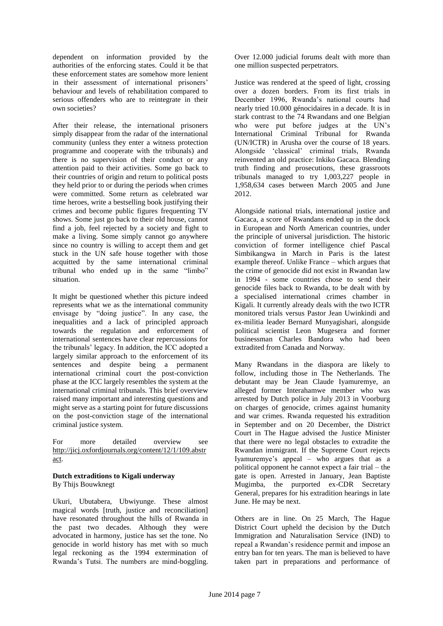dependent on information provided by the authorities of the enforcing states. Could it be that these enforcement states are somehow more lenient in their assessment of international prisoners' behaviour and levels of rehabilitation compared to serious offenders who are to reintegrate in their own societies?

After their release, the international prisoners simply disappear from the radar of the international community (unless they enter a witness protection programme and cooperate with the tribunals) and there is no supervision of their conduct or any attention paid to their activities. Some go back to their countries of origin and return to political posts they held prior to or during the periods when crimes were committed. Some return as celebrated war time heroes, write a bestselling book justifying their crimes and become public figures frequenting TV shows. Some just go back to their old house, cannot find a job, feel rejected by a society and fight to make a living. Some simply cannot go anywhere since no country is willing to accept them and get stuck in the UN safe house together with those acquitted by the same international criminal tribunal who ended up in the same "limbo" situation.

It might be questioned whether this picture indeed represents what we as the international community envisage by "doing justice". In any case, the inequalities and a lack of principled approach towards the regulation and enforcement of international sentences have clear repercussions for the tribunals' legacy. In addition, the ICC adopted a largely similar approach to the enforcement of its sentences and despite being a permanent international criminal court the post-conviction phase at the ICC largely resembles the system at the international criminal tribunals. This brief overview raised many important and interesting questions and might serve as a starting point for future discussions on the post-conviction stage of the international criminal justice system.

For more detailed overview see [http://jicj.oxfordjournals.org/content/12/1/109.abstr](http://jicj.oxfordjournals.org/content/12/1/109.abstract) [act.](http://jicj.oxfordjournals.org/content/12/1/109.abstract)

#### **Dutch extraditions to Kigali underway** By Thijs Bouwknegt

Ukuri, Ubutabera, Ubwiyunge. These almost magical words [truth, justice and reconciliation] have resonated throughout the hills of Rwanda in the past two decades. Although they were advocated in harmony, justice has set the tone. No genocide in world history has met with so much legal reckoning as the 1994 extermination of Rwanda's Tutsi. The numbers are mind-boggling.

Over 12.000 judicial forums dealt with more than one million suspected perpetrators.

Justice was rendered at the speed of light, crossing over a dozen borders. From its first trials in December 1996, Rwanda's national courts had nearly tried 10.000 génocidaires in a decade. It is in stark contrast to the 74 Rwandans and one Belgian who were put before judges at the UN's International Criminal Tribunal for Rwanda (UN/ICTR) in Arusha over the course of 18 years. Alongside 'classical' criminal trials, Rwanda reinvented an old practice: Inkiko Gacaca. Blending truth finding and prosecutions, these grassroots tribunals managed to try 1,003,227 people in 1,958,634 cases between March 2005 and June 2012.

Alongside national trials, international justice and Gacaca, a score of Rwandans ended up in the dock in European and North American countries, under the principle of universal jurisdiction. The historic conviction of former intelligence chief Pascal Simbikangwa in March in Paris is the latest example thereof. Unlike France – which argues that the crime of genocide did not exist in Rwandan law in 1994 - some countries chose to send their genocide files back to Rwanda, to be dealt with by a specialised international crimes chamber in Kigali. It currently already deals with the two ICTR monitored trials versus Pastor Jean Uwinkindi and ex-militia leader Bernard Munyagishari, alongside political scientist Leon Mugesera and former businessman Charles Bandora who had been extradited from Canada and Norway.

Many Rwandans in the diaspora are likely to follow, including those in The Netherlands. The debutant may be Jean Claude Iyamuremye, an alleged former Interahamwe member who was arrested by Dutch police in July 2013 in Voorburg on charges of genocide, crimes against humanity and war crimes. Rwanda requested his extradition in September and on 20 December, the District Court in The Hague advised the Justice Minister that there were no legal obstacles to extradite the Rwandan immigrant. If the Supreme Court rejects Iyamuremye's appeal – who argues that as a political opponent he cannot expect a fair trial – the gate is open. Arrested in January, Jean Baptiste Mugimba, the purported ex-CDR Secretary General, prepares for his extradition hearings in late June. He may be next.

Others are in line. On 25 March, The Hague District Court upheld the decision by the Dutch Immigration and Naturalisation Service (IND) to repeal a Rwandan's residence permit and impose an entry ban for ten years. The man is believed to have taken part in preparations and performance of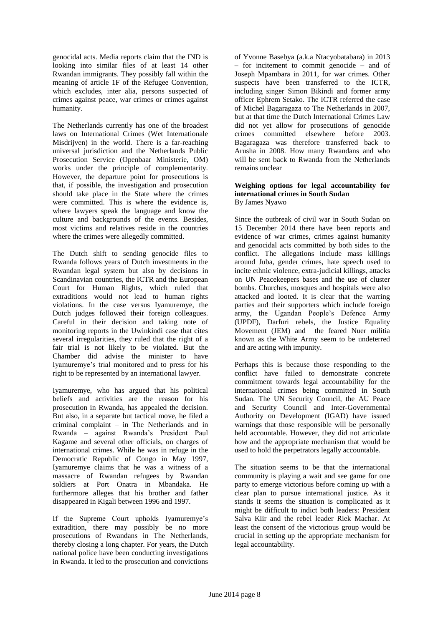genocidal acts. Media reports claim that the IND is looking into similar files of at least 14 other Rwandan immigrants. They possibly fall within the meaning of article 1F of the Refugee Convention, which excludes, inter alia, persons suspected of crimes against peace, war crimes or crimes against humanity.

The Netherlands currently has one of the broadest laws on International Crimes (Wet Internationale Misdrijven) in the world. There is a far-reaching universal jurisdiction and the Netherlands Public Prosecution Service (Openbaar Ministerie, OM) works under the principle of complementarity. However, the departure point for prosecutions is that, if possible, the investigation and prosecution should take place in the State where the crimes were committed. This is where the evidence is, where lawyers speak the language and know the culture and backgrounds of the events. Besides, most victims and relatives reside in the countries where the crimes were allegedly committed.

The Dutch shift to sending genocide files to Rwanda follows years of Dutch investments in the Rwandan legal system but also by decisions in Scandinavian countries, the ICTR and the European Court for Human Rights, which ruled that extraditions would not lead to human rights violations. In the case versus Iyamuremye, the Dutch judges followed their foreign colleagues. Careful in their decision and taking note of monitoring reports in the Uwinkindi case that cites several irregularities, they ruled that the right of a fair trial is not likely to be violated. But the Chamber did advise the minister to have Iyamuremye's trial monitored and to press for his right to be represented by an international lawyer.

Iyamuremye, who has argued that his political beliefs and activities are the reason for his prosecution in Rwanda, has appealed the decision. But also, in a separate but tactical move, he filed a criminal complaint – in The Netherlands and in Rwanda – against Rwanda's President Paul Kagame and several other officials, on charges of international crimes. While he was in refuge in the Democratic Republic of Congo in May 1997, Iyamuremye claims that he was a witness of a massacre of Rwandan refugees by Rwandan soldiers at Port Onatra in Mbandaka. He furthermore alleges that his brother and father disappeared in Kigali between 1996 and 1997.

If the Supreme Court upholds Iyamuremye's extradition, there may possibly be no more prosecutions of Rwandans in The Netherlands, thereby closing a long chapter. For years, the Dutch national police have been conducting investigations in Rwanda. It led to the prosecution and convictions

of Yvonne Basebya (a.k.a Ntacyobatabara) in 2013 – for incitement to commit genocide – and of Joseph Mpambara in 2011, for war crimes. Other suspects have been transferred to the ICTR, including singer Simon Bikindi and former army officer Ephrem Setako. The ICTR referred the case of Michel Bagaragaza to The Netherlands in 2007, but at that time the Dutch International Crimes Law did not yet allow for prosecutions of genocide crimes committed elsewhere before 2003. Bagaragaza was therefore transferred back to Arusha in 2008. How many Rwandans and who will be sent back to Rwanda from the Netherlands remains unclear

#### **Weighing options for legal accountability for international crimes in South Sudan** By James Nyawo

Since the outbreak of civil war in South Sudan on 15 December 2014 there have been reports and evidence of war crimes, crimes against humanity and genocidal acts committed by both sides to the conflict. The allegations include mass killings around Juba, gender crimes, hate speech used to incite ethnic violence, extra-judicial killings, attacks on UN Peacekeepers bases and the use of cluster bombs. Churches, mosques and hospitals were also attacked and looted. It is clear that the warring parties and their supporters which include foreign army, the Ugandan People's Defence Army (UPDF), Darfuri rebels, the Justice Equality Movement (JEM) and the feared Nuer militia known as the White Army seem to be undeterred and are acting with impunity.

Perhaps this is because those responding to the conflict have failed to demonstrate concrete commitment towards legal accountability for the international crimes being committed in South Sudan. The UN Security Council, the AU Peace and Security Council and Inter-Governmental Authority on Development (IGAD) have issued warnings that those responsible will be personally held accountable. However, they did not articulate how and the appropriate mechanism that would be used to hold the perpetrators legally accountable.

The situation seems to be that the international community is playing a wait and see game for one party to emerge victorious before coming up with a clear plan to pursue international justice. As it stands it seems the situation is complicated as it might be difficult to indict both leaders: President Salva Kiir and the rebel leader Riek Machar. At least the consent of the victorious group would be crucial in setting up the appropriate mechanism for legal accountability.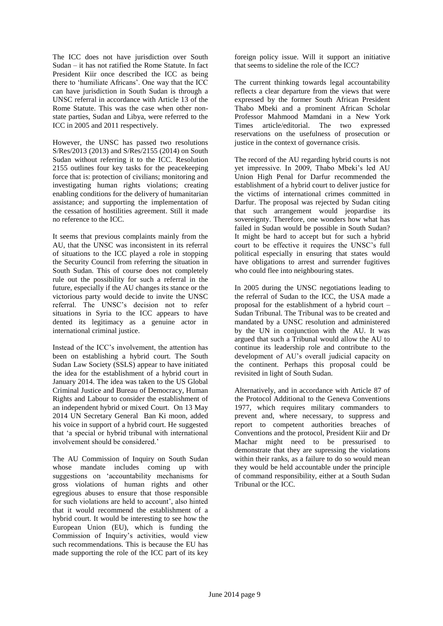The ICC does not have jurisdiction over South Sudan – it has not ratified the Rome Statute. In fact President Kiir once described the ICC as being there to 'humiliate Africans'. One way that the ICC can have jurisdiction in South Sudan is through a UNSC referral in accordance with Article 13 of the Rome Statute. This was the case when other nonstate parties, Sudan and Libya, were referred to the ICC in 2005 and 2011 respectively.

However, the UNSC has passed two resolutions S/Res/2013 (2013) and S/Res/2155 (2014) on South Sudan without referring it to the ICC. Resolution 2155 outlines four key tasks for the peacekeeping force that is: protection of civilians; monitoring and investigating human rights violations; creating enabling conditions for the delivery of humanitarian assistance; and supporting the implementation of the cessation of hostilities agreement. Still it made no reference to the ICC.

It seems that previous complaints mainly from the AU, that the UNSC was inconsistent in its referral of situations to the ICC played a role in stopping the Security Council from referring the situation in South Sudan. This of course does not completely rule out the possibility for such a referral in the future, especially if the AU changes its stance or the victorious party would decide to invite the UNSC referral. The UNSC's decision not to refer situations in Syria to the ICC appears to have dented its legitimacy as a genuine actor in international criminal justice.

Instead of the ICC's involvement, the attention has been on establishing a hybrid court. The South Sudan Law Society (SSLS) appear to have initiated the idea for the establishment of a hybrid court in January 2014. The idea was taken to the US Global Criminal Justice and Bureau of Democracy, Human Rights and Labour to consider the establishment of an independent hybrid or mixed Court. On 13 May 2014 UN Secretary General Ban Ki moon, added his voice in support of a hybrid court. He suggested that 'a special or hybrid tribunal with international involvement should be considered.'

The AU Commission of Inquiry on South Sudan whose mandate includes coming up with suggestions on 'accountability mechanisms for gross violations of human rights and other egregious abuses to ensure that those responsible for such violations are held to account', also hinted that it would recommend the establishment of a hybrid court. It would be interesting to see how the European Union (EU), which is funding the Commission of Inquiry's activities, would view such recommendations. This is because the EU has made supporting the role of the ICC part of its key

foreign policy issue. Will it support an initiative that seems to sideline the role of the ICC?

The current thinking towards legal accountability reflects a clear departure from the views that were expressed by the former South African President Thabo Mbeki and a prominent African Scholar Professor Mahmood Mamdani in a New York Times article/editorial. The two expressed reservations on the usefulness of prosecution or justice in the context of governance crisis.

The record of the AU regarding hybrid courts is not yet impressive. In 2009, Thabo Mbeki's led AU Union High Penal for Darfur recommended the establishment of a hybrid court to deliver justice for the victims of international crimes committed in Darfur. The proposal was rejected by Sudan citing that such arrangement would jeopardise its sovereignty. Therefore, one wonders how what has failed in Sudan would be possible in South Sudan? It might be hard to accept but for such a hybrid court to be effective it requires the UNSC's full political especially in ensuring that states would have obligations to arrest and surrender fugitives who could flee into neighbouring states.

In 2005 during the UNSC negotiations leading to the referral of Sudan to the ICC, the USA made a proposal for the establishment of a hybrid court – Sudan Tribunal. The Tribunal was to be created and mandated by a UNSC resolution and administered by the UN in conjunction with the AU. It was argued that such a Tribunal would allow the AU to continue its leadership role and contribute to the development of AU's overall judicial capacity on the continent. Perhaps this proposal could be revisited in light of South Sudan.

Alternatively, and in accordance with Article 87 of the Protocol Additional to the Geneva Conventions 1977, which requires military commanders to prevent and, where necessary, to suppress and report to competent authorities breaches of Conventions and the protocol, President Kiir and Dr Machar might need to be pressurised to demonstrate that they are supressing the violations within their ranks, as a failure to do so would mean they would be held accountable under the principle of command responsibility, either at a South Sudan Tribunal or the ICC.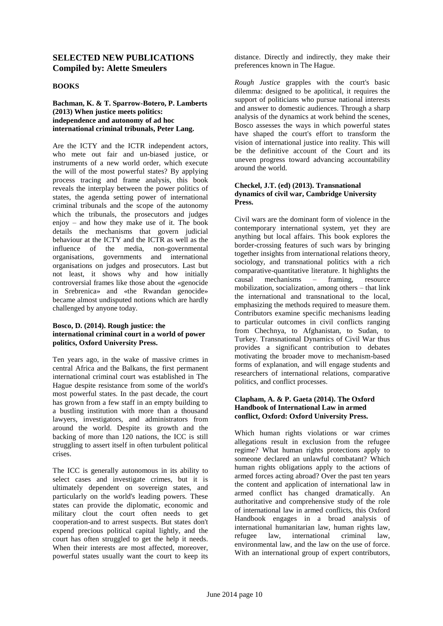# **SELECTED NEW PUBLICATIONS Compiled by: Alette Smeulers**

#### **BOOKS**

**Bachman, K. & T. Sparrow-Botero, P. Lamberts (2013) When justice meets politics: independence and autonomy of ad hoc international criminal tribunals, Peter Lang.**

Are the ICTY and the ICTR independent actors, who mete out fair and un-biased justice, or instruments of a new world order, which execute the will of the most powerful states? By applying process tracing and frame analysis, this book reveals the interplay between the power politics of states, the agenda setting power of international criminal tribunals and the scope of the autonomy which the tribunals, the prosecutors and judges enjoy – and how they make use of it. The book details the mechanisms that govern judicial behaviour at the ICTY and the ICTR as well as the influence of the media, non-governmental organisations, governments and international organisations on judges and prosecutors. Last but not least, it shows why and how initially controversial frames like those about the «genocide in Srebrenica» and «the Rwandan genocide» became almost undisputed notions which are hardly challenged by anyone today.

#### **Bosco, D. (2014). Rough justice: the international criminal court in a world of power politics, Oxford University Press.**

Ten years ago, in the wake of massive crimes in central Africa and the Balkans, the first permanent international criminal court was established in The Hague despite resistance from some of the world's most powerful states. In the past decade, the court has grown from a few staff in an empty building to a bustling institution with more than a thousand lawyers, investigators, and administrators from around the world. Despite its growth and the backing of more than 120 nations, the ICC is still struggling to assert itself in often turbulent political crises.

The ICC is generally autonomous in its ability to select cases and investigate crimes, but it is ultimately dependent on sovereign states, and particularly on the world's leading powers. These states can provide the diplomatic, economic and military clout the court often needs to get cooperation-and to arrest suspects. But states don't expend precious political capital lightly, and the court has often struggled to get the help it needs. When their interests are most affected, moreover, powerful states usually want the court to keep its

distance. Directly and indirectly, they make their preferences known in The Hague.

*Rough Justice* grapples with the court's basic dilemma: designed to be apolitical, it requires the support of politicians who pursue national interests and answer to domestic audiences. Through a sharp analysis of the dynamics at work behind the scenes, Bosco assesses the ways in which powerful states have shaped the court's effort to transform the vision of international justice into reality. This will be the definitive account of the Court and its uneven progress toward advancing accountability around the world.

#### **Checkel, J.T. (ed) (2013). Transnational dynamics of civil war, Cambridge University Press.**

Civil wars are the dominant form of violence in the contemporary international system, yet they are anything but local affairs. This book explores the border-crossing features of such wars by bringing together insights from international relations theory, sociology, and transnational politics with a rich comparative-quantitative literature. It highlights the causal mechanisms – framing, resource mobilization, socialization, among others – that link the international and transnational to the local, emphasizing the methods required to measure them. Contributors examine specific mechanisms leading to particular outcomes in civil conflicts ranging from Chechnya, to Afghanistan, to Sudan, to Turkey. Transnational Dynamics of Civil War thus provides a significant contribution to debates motivating the broader move to mechanism-based forms of explanation, and will engage students and researchers of international relations, comparative politics, and conflict processes.

#### **Clapham, A. & P. Gaeta (2014). The Oxford Handbook of International Law in armed conflict, Oxford: Oxford University Press.**

Which human rights violations or war crimes allegations result in exclusion from the refugee regime? What human rights protections apply to someone declared an unlawful combatant? Which human rights obligations apply to the actions of armed forces acting abroad? Over the past ten years the content and application of international law in armed conflict has changed dramatically. An authoritative and comprehensive study of the role of international law in armed conflicts, this Oxford Handbook engages in a broad analysis of international humanitarian law, human rights law, refugee law, international criminal law, environmental law, and the law on the use of force. With an international group of expert contributors,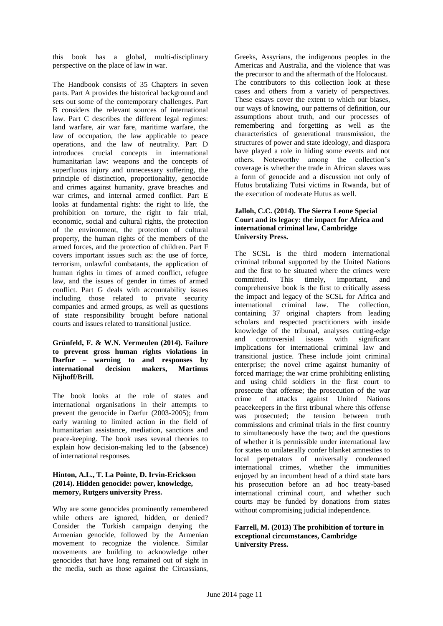this book has a global, multi-disciplinary perspective on the place of law in war.

The Handbook consists of 35 Chapters in seven parts. Part A provides the historical background and sets out some of the contemporary challenges. Part B considers the relevant sources of international law. Part C describes the different legal regimes: land warfare, air war fare, maritime warfare, the law of occupation, the law applicable to peace operations, and the law of neutrality. Part D introduces crucial concepts in international humanitarian law: weapons and the concepts of superfluous injury and unnecessary suffering, the principle of distinction, proportionality, genocide and crimes against humanity, grave breaches and war crimes, and internal armed conflict. Part E looks at fundamental rights: the right to life, the prohibition on torture, the right to fair trial, economic, social and cultural rights, the protection of the environment, the protection of cultural property, the human rights of the members of the armed forces, and the protection of children. Part F covers important issues such as: the use of force, terrorism, unlawful combatants, the application of human rights in times of armed conflict, refugee law, and the issues of gender in times of armed conflict. Part G deals with accountability issues including those related to private security companies and armed groups, as well as questions of state responsibility brought before national courts and issues related to transitional justice.

#### **Grünfeld, F. & W.N. Vermeulen (2014). Failure to prevent gross human rights violations in Darfur – warning to and responses by international decision makers, Martinus Nijhoff/Brill.**

The book looks at the role of states and international organisations in their attempts to prevent the genocide in Darfur (2003-2005); from early warning to limited action in the field of humanitarian assistance, mediation, sanctions and peace-keeping. The book uses several theories to explain how decision-making led to the (absence) of international responses.

#### **Hinton, A.L., T. La Pointe, D. Irvin-Erickson (2014). Hidden genocide: power, knowledge, memory, Rutgers university Press.**

Why are some genocides prominently remembered while others are ignored, hidden, or denied? Consider the Turkish campaign denying the Armenian genocide, followed by the Armenian movement to recognize the violence. Similar movements are building to acknowledge other genocides that have long remained out of sight in the media, such as those against the Circassians,

Greeks, Assyrians, the indigenous peoples in the Americas and Australia, and the violence that was the precursor to and the aftermath of the Holocaust. The contributors to this collection look at these cases and others from a variety of perspectives. These essays cover the extent to which our biases, our ways of knowing, our patterns of definition, our assumptions about truth, and our processes of remembering and forgetting as well as the characteristics of generational transmission, the structures of power and state ideology, and diaspora have played a role in hiding some events and not others. Noteworthy among the collection's coverage is whether the trade in African slaves was a form of genocide and a discussion not only of Hutus brutalizing Tutsi victims in Rwanda, but of the execution of moderate Hutus as well.

#### **Jalloh, C.C. (2014). The Sierra Leone Special Court and its legacy: the impact for Africa and international criminal law, Cambridge University Press.**

The SCSL is the third modern international criminal tribunal supported by the United Nations and the first to be situated where the crimes were committed. This timely, important, and comprehensive book is the first to critically assess the impact and legacy of the SCSL for Africa and international criminal law. The collection, containing 37 original chapters from leading scholars and respected practitioners with inside knowledge of the tribunal, analyses cutting-edge and controversial issues with implications for international criminal law and transitional justice. These include joint criminal enterprise; the novel crime against humanity of forced marriage; the war crime prohibiting enlisting and using child soldiers in the first court to prosecute that offense; the prosecution of the war crime of attacks against United Nations peacekeepers in the first tribunal where this offense was prosecuted; the tension between truth commissions and criminal trials in the first country to simultaneously have the two; and the questions of whether it is permissible under international law for states to unilaterally confer blanket amnesties to local perpetrators of universally condemned international crimes, whether the immunities enjoyed by an incumbent head of a third state bars his prosecution before an ad hoc treaty-based international criminal court, and whether such courts may be funded by donations from states without compromising judicial independence.

#### **Farrell, M. (2013) The prohibition of torture in exceptional circumstances, Cambridge University Press.**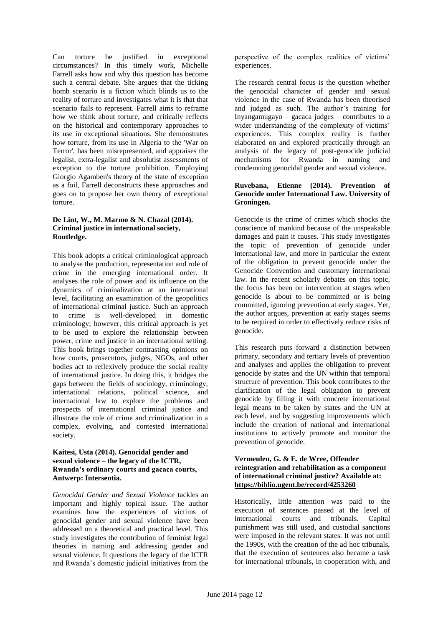Can torture be justified in exceptional circumstances? In this timely work, Michelle Farrell asks how and why this question has become such a central debate. She argues that the ticking bomb scenario is a fiction which blinds us to the reality of torture and investigates what it is that that scenario fails to represent. Farrell aims to reframe how we think about torture, and critically reflects on the historical and contemporary approaches to its use in exceptional situations. She demonstrates how torture, from its use in Algeria to the 'War on Terror', has been misrepresented, and appraises the legalist, extra-legalist and absolutist assessments of exception to the torture prohibition. Employing Giorgio Agamben's theory of the state of exception as a foil, Farrell deconstructs these approaches and goes on to propose her own theory of exceptional torture.

#### **De Lint, W., M. Marmo & N. Chazal (2014). Criminal justice in international society, Routledge.**

This book adopts a critical criminological approach to analyse the production, representation and role of crime in the emerging international order. It analyses the role of power and its influence on the dynamics of criminalization at an international level, facilitating an examination of the geopolitics of international criminal justice. Such an approach to crime is well-developed in domestic criminology; however, this critical approach is yet to be used to explore the relationship between power, crime and justice in an international setting. This book brings together contrasting opinions on how courts, prosecutors, judges, NGOs, and other bodies act to reflexively produce the social reality of international justice. In doing this, it bridges the gaps between the fields of sociology, criminology, international relations, political science, and international law to explore the problems and prospects of international criminal justice and illustrate the role of crime and criminalization in a complex, evolving, and contested international society.

#### **Kaitesi, Usta (2014). Genocidal gender and sexual violence – the legacy of the ICTR, Rwanda's ordinary courts and gacaca courts, Antwerp: Intersentia.**

*Genocidal Gender and Sexual Violence* tackles an important and highly topical issue. The author examines how the experiences of victims of genocidal gender and sexual violence have been addressed on a theoretical and practical level. This study investigates the contribution of feminist legal theories in naming and addressing gender and sexual violence. It questions the legacy of the ICTR and Rwanda's domestic judicial initiatives from the

perspective of the complex realities of victims' experiences.

The research central focus is the question whether the genocidal character of gender and sexual violence in the case of Rwanda has been theorised and judged as such. The author's training for Inyangamugayo – gacaca judges – contributes to a wider understanding of the complexity of victims' experiences. This complex reality is further elaborated on and explored practically through an analysis of the legacy of post-genocide judicial mechanisms for Rwanda in naming and condemning genocidal gender and sexual violence.

#### **Ruvebana, Etienne (2014). Prevention of Genocide under International Law. University of Groningen.**

Genocide is the crime of crimes which shocks the conscience of mankind because of the unspeakable damages and pain it causes. This study investigates the topic of prevention of genocide under international law, and more in particular the extent of the obligation to prevent genocide under the Genocide Convention and customary international law. In the recent scholarly debates on this topic, the focus has been on intervention at stages when genocide is about to be committed or is being committed, ignoring prevention at early stages. Yet, the author argues, prevention at early stages seems to be required in order to effectively reduce risks of genocide.

This research puts forward a distinction between primary, secondary and tertiary levels of prevention and analyses and applies the obligation to prevent genocide by states and the UN within that temporal structure of prevention. This book contributes to the clarification of the legal obligation to prevent genocide by filling it with concrete international legal means to be taken by states and the UN at each level, and by suggesting improvements which include the creation of national and international institutions to actively promote and monitor the prevention of genocide.

#### **Vermeulen, G. & E. de Wree, Offender reintegration and rehabilitation as a component of international criminal justice? Available at: <https://biblio.ugent.be/record/4253260>**

Historically, little attention was paid to the execution of sentences passed at the level of international courts and tribunals. Capital punishment was still used, and custodial sanctions were imposed in the relevant states. It was not until the 1990s, with the creation of the ad hoc tribunals, that the execution of sentences also became a task for international tribunals, in cooperation with, and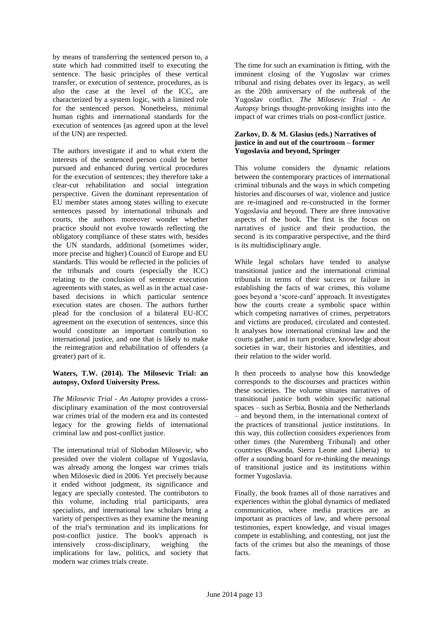by means of transferring the sentenced person to, a state which had committed itself to executing the sentence. The basic principles of these vertical transfer, or execution of sentence, procedures, as is also the case at the level of the ICC, are characterized by a system logic, with a limited role for the sentenced person. Nonetheless, minimal human rights and international standards for the execution of sentences (as agreed upon at the level of the UN) are respected.

The authors investigate if and to what extent the interests of the sentenced person could be better pursued and enhanced during vertical procedures for the execution of sentences; they therefore take a clear-cut rehabilitation and social integration perspective. Given the dominant representation of EU member states among states willing to execute sentences passed by international tribunals and courts, the authors moreover wonder whether practice should not evolve towards reflecting the obligatory compliance of these states with, besides the UN standards, additional (sometimes wider, more precise and higher) Council of Europe and EU standards. This would be reflected in the policies of the tribunals and courts (especially the ICC) relating to the conclusion of sentence execution agreements with states, as well as in the actual casebased decisions in which particular sentence execution states are chosen. The authors further plead for the conclusion of a bilateral EU-ICC agreement on the execution of sentences, since this would constitute an important contribution to international justice, and one that is likely to make the reintegration and rehabilitation of offenders (a greater) part of it.

#### **Waters, T.W. (2014). The Milosevic Trial: an autopsy, Oxford University Press.**

*The Milosevic Trial - An Autopsy* provides a crossdisciplinary examination of the most controversial war crimes trial of the modern era and its contested legacy for the growing fields of international criminal law and post-conflict justice.

The international trial of Slobodan Milosevic, who presided over the violent collapse of Yugoslavia, was already among the longest war crimes trials when Milosevic died in 2006. Yet precisely because it ended without judgment, its significance and legacy are specially contested. The contributors to this volume, including trial participants, area specialists, and international law scholars bring a variety of perspectives as they examine the meaning of the trial's termination and its implications for post-conflict justice. The book's approach is intensively cross-disciplinary, weighing the implications for law, politics, and society that modern war crimes trials create.

The time for such an examination is fitting, with the imminent closing of the Yugoslav war crimes tribunal and rising debates over its legacy, as well as the 20th anniversary of the outbreak of the Yugoslav conflict. *The Milosevic Trial - An Autopsy* brings thought-provoking insights into the impact of war crimes trials on post-conflict justice.

#### **Zarkov, D. & M. Glasius (eds.) Narratives of justice in and out of the courtroom – former Yugoslavia and beyond, Springer**

This volume considers the dynamic relations between the contemporary practices of international criminal tribunals and the ways in which competing histories and discourses of war, violence and justice are re-imagined and re-constructed in the former Yugoslavia and beyond. There are three innovative aspects of the book. The first is the focus on narratives of justice and their production, the second is its comparative perspective, and the third is its multidisciplinary angle.

While legal scholars have tended to analyse transitional justice and the international criminal tribunals in terms of their success or failure in establishing the facts of war crimes, this volume goes beyond a 'score-card' approach. It investigates how the courts create a symbolic space within which competing narratives of crimes, perpetrators and victims are produced, circulated and contested. It analyses how international criminal law and the courts gather, and in turn produce, knowledge about societies in war, their histories and identities, and their relation to the wider world.

It then proceeds to analyse how this knowledge corresponds to the discourses and practices within these societies. The volume situates narratives of transitional justice both within specific national spaces – such as Serbia, Bosnia and the Netherlands – and beyond them, in the international context of the practices of transitional justice institutions. In this way, this collection considers experiences from other times (the Nuremberg Tribunal) and other countries (Rwanda, Sierra Leone and Liberia) to offer a sounding board for re-thinking the meanings of transitional justice and its institutions within former Yugoslavia.

Finally, the book frames all of those narratives and experiences within the global dynamics of mediated communication, where media practices are as important as practices of law, and where personal testimonies, expert knowledge, and visual images compete in establishing, and contesting, not just the facts of the crimes but also the meanings of those facts.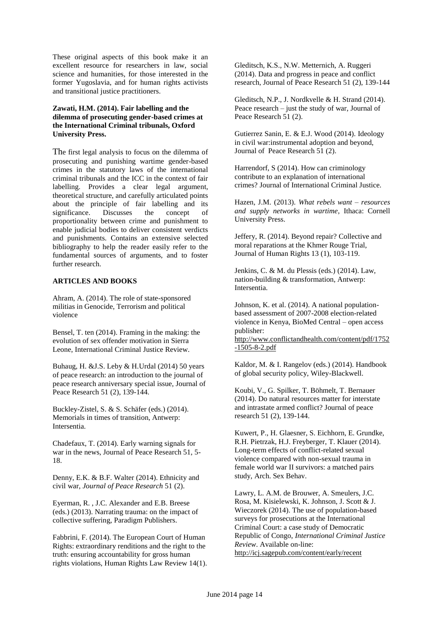These original aspects of this book make it an excellent resource for researchers in law, social science and humanities, for those interested in the former Yugoslavia, and for human rights activists and transitional justice practitioners.

#### **Zawati, H.M. (2014). Fair labelling and the dilemma of prosecuting gender-based crimes at the International Criminal tribunals, Oxford University Press.**

The first legal analysis to focus on the dilemma of prosecuting and punishing wartime gender-based crimes in the statutory laws of the international criminal tribunals and the ICC in the context of fair labelling. Provides a clear legal argument, theoretical structure, and carefully articulated points about the principle of fair labelling and its significance. Discusses the concept of proportionality between crime and punishment to enable judicial bodies to deliver consistent verdicts and punishments. Contains an extensive selected bibliography to help the reader easily refer to the fundamental sources of arguments, and to foster further research.

#### **ARTICLES AND BOOKS**

Ahram, A. (2014). The role of state-sponsored militias in Genocide, Terrorism and political violence

Bensel, T. ten (2014). Framing in the making: the evolution of sex offender motivation in Sierra Leone, International Criminal Justice Review.

Buhaug, H. &J.S. Leby & H.Urdal (2014) 50 years of peace research: an introduction to the journal of peace research anniversary special issue, Journal of Peace Research 51 (2), 139-144.

Buckley-Zistel, S. & S. Schäfer (eds.) (2014). Memorials in times of transition, Antwerp: Intersentia.

Chadefaux, T. (2014). Early warning signals for war in the news, Journal of Peace Research 51, 5-18.

Denny, E.K. & B.F. Walter (2014). Ethnicity and civil war, *Journal of Peace Research* 51 (2).

Eyerman, R. , J.C. Alexander and E.B. Breese (eds.) (2013). Narrating trauma: on the impact of collective suffering, Paradigm Publishers.

Fabbrini, F. (2014). The European Court of Human Rights: extraordinary renditions and the right to the truth: ensuring accountability for gross human rights violations, Human Rights Law Review 14(1).

Gleditsch, K.S., N.W. Metternich, A. Ruggeri (2014). Data and progress in peace and conflict research, Journal of Peace Research 51 (2), 139-144

Gleditsch, N.P., J. Nordkvelle & H. Strand (2014). Peace research – just the study of war, Journal of Peace Research 51 (2).

Gutierrez Sanin, E. & E.J. Wood (2014). Ideology in civil war:instrumental adoption and beyond, Journal of Peace Research 51 (2).

Harrendorf, S (2014). How can criminology contribute to an explanation of international crimes? Journal of International Criminal Justice.

Hazen, J.M. (2013). *What rebels want – resources and supply networks in wartime*, Ithaca: Cornell University Press.

Jeffery, R. (2014). Beyond repair? Collective and moral reparations at the Khmer Rouge Trial, Journal of Human Rights 13 (1), 103-119.

Jenkins, C. & M. du Plessis (eds.) (2014). Law, nation-building & transformation, Antwerp: Intersentia.

Johnson, K. et al. (2014). A national populationbased assessment of 2007-2008 election-related violence in Kenya, BioMed Central – open access publisher:

[http://www.conflictandhealth.com/content/pdf/1752](http://www.conflictandhealth.com/content/pdf/1752-1505-8-2.pdf) [-1505-8-2.pdf](http://www.conflictandhealth.com/content/pdf/1752-1505-8-2.pdf)

Kaldor, M. & I. Rangelov (eds.) (2014). Handbook of global security policy, Wiley-Blackwell.

Koubi, V., G. Spilker, T. Böhmelt, T. Bernauer (2014). Do natural resources matter for interstate and intrastate armed conflict? Journal of peace research 51 (2), 139-144.

Kuwert, P., H. Glaesner, S. Eichhorn, E. Grundke, R.H. Pietrzak, H.J. Freyberger, T. Klauer (2014). Long-term effects of conflict-related sexual violence compared with non-sexual trauma in female world war II survivors: a matched pairs study, Arch. Sex Behav.

Lawry, L. A.M. de Brouwer, A. Smeulers, J.C. Rosa, M. Kisielewski, K. Johnson, J. Scott & J. Wieczorek (2014). The use of population-based surveys for prosecutions at the International Criminal Court: a case study of Democratic Republic of Congo, *International Criminal Justice Review*. Available on-line: <http://icj.sagepub.com/content/early/recent>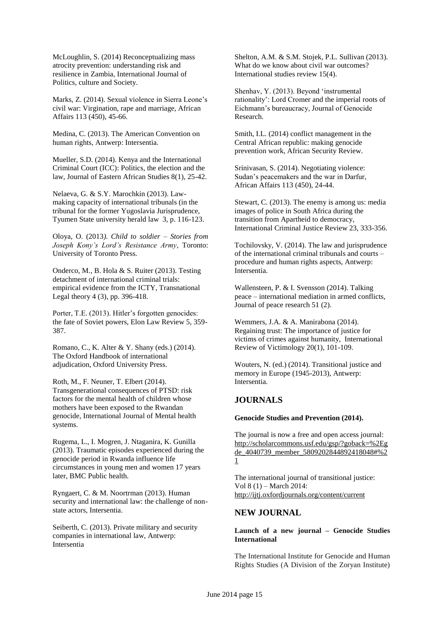McLoughlin, S. (2014) Reconceptualizing mass atrocity prevention: understanding risk and resilience in Zambia, International Journal of Politics, culture and Society.

Marks, Z. (2014). Sexual violence in Sierra Leone's civil war: Virgination, rape and marriage, African Affairs 113 (450), 45-66.

Medina, C. (2013). The American Convention on human rights, Antwerp: Intersentia.

Mueller, S.D. (2014). Kenya and the International Criminal Court (ICC): Politics, the election and the law, Journal of Eastern African Studies 8(1), 25-42.

Nelaeva, G. & S.Y. Marochkin (2013). Lawmaking capacity of international tribunals (in the tribunal for the former Yugoslavia Jurisprudence, Tyumen State university herald law 3, p. 116-123.

Oloya, O. (2013*). Child to soldier – Stories from Joseph Kony's Lord's Resistance Army*, Toronto: University of Toronto Press.

Onderco, M., B. Hola & S. Ruiter (2013). Testing detachment of international criminal trials: empirical evidence from the ICTY, Transnational Legal theory 4 (3), pp. 396-418.

Porter, T.E. (2013). Hitler's forgotten genocides: the fate of Soviet powers, Elon Law Review 5, 359- 387.

Romano, C., K. Alter & Y. Shany (eds.) (2014). The Oxford Handbook of international adjudication, Oxford University Press.

Roth, M., F. Neuner, T. Elbert (2014). Transgenerational consequences of PTSD: risk factors for the mental health of children whose mothers have been exposed to the Rwandan genocide, International Journal of Mental health systems.

Rugema, L., I. Mogren, J. Ntaganira, K. Gunilla (2013). Traumatic episodes experienced during the genocide period in Rwanda influence life circumstances in young men and women 17 years later, BMC Public health.

Ryngaert, C. & M. Noortrman (2013). Human security and international law: the challenge of nonstate actors, Intersentia.

Seiberth, C. (2013). Private military and security companies in international law, Antwerp: Intersentia

Shelton, A.M. & S.M. Stojek, P.L. Sullivan (2013). What do we know about civil war outcomes? International studies review 15(4).

Shenhav, Y. (2013). Beyond 'instrumental rationality': Lord Cromer and the imperial roots of Eichmann's bureaucracy, Journal of Genocide Research.

Smith, I.L. (2014) conflict management in the Central African republic: making genocide prevention work, African Security Review.

Srinivasan, S. (2014). Negotiating violence: Sudan's peacemakers and the war in Darfur, African Affairs 113 (450), 24-44.

Stewart, C. (2013). The enemy is among us: media images of police in South Africa during the transition from Apartheid to democracy, International Criminal Justice Review 23, 333-356.

Tochilovsky, V. (2014). The law and jurisprudence of the international criminal tribunals and courts – procedure and human rights aspects, Antwerp: Intersentia.

Wallensteen, P. & I. Svensson (2014). Talking peace – international mediation in armed conflicts, Journal of peace research 51 (2).

Wemmers, J.A. & A. Manirabona (2014). Regaining trust: The importance of justice for victims of crimes against humanity, International Review of Victimology 20(1), 101-109.

Wouters, N. (ed.) (2014). Transitional justice and memory in Europe (1945-2013), Antwerp: Intersentia.

# **JOURNALS**

#### **Genocide Studies and Prevention (2014).**

The journal is now a free and open access journal: [http://scholarcommons.usf.edu/gsp/?goback=%2Eg](http://scholarcommons.usf.edu/gsp/?goback=%2Egde_4040739_member_5809202844892418048#%21) de<sup>4040739</sup> member 5809202844892418048#%2 [1](http://scholarcommons.usf.edu/gsp/?goback=%2Egde_4040739_member_5809202844892418048#%21)

The international journal of transitional justice: Vol 8 (1) – March 2014: <http://ijtj.oxfordjournals.org/content/current>

# **NEW JOURNAL**

#### **Launch of a new journal – Genocide Studies International**

The International Institute for Genocide and Human Rights Studies (A Division of the Zoryan Institute)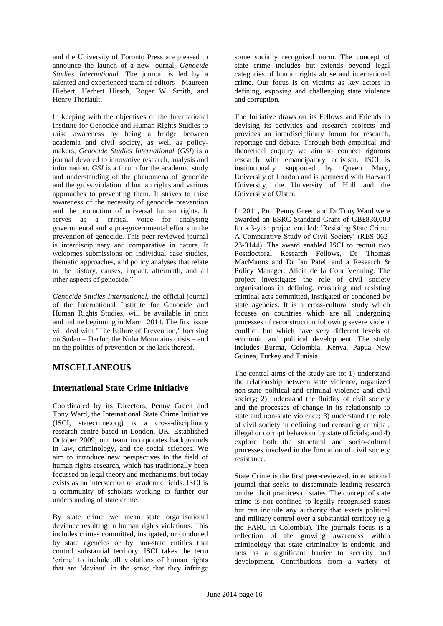and the University of Toronto Press are pleased to announce the launch of a new journal, *Genocide Studies International*. The journal is led by a talented and experienced team of editors - Maureen Hiebert, Herbert Hirsch, Roger W. Smith, and Henry Theriault.

In keeping with the objectives of the International Institute for Genocide and Human Rights Studies to raise awareness by being a bridge between academia and civil society, as well as policymakers, *Genocide Studies International* (*GSI*) is a journal devoted to innovative research, analysis and information. *GSI* is a forum for the academic study and understanding of the phenomena of genocide and the gross violation of human rights and various approaches to preventing them. It strives to raise awareness of the necessity of genocide prevention and the promotion of universal human rights. It serves as a critical voice for analysing governmental and supra-governmental efforts in the prevention of genocide. This peer-reviewed journal is interdisciplinary and comparative in nature. It welcomes submissions on individual case studies. thematic approaches, and policy analyses that relate to the history, causes, impact, aftermath, and all other aspects of genocide."

*Genocide Studies International*, the official journal of the International Institute for Genocide and Human Rights Studies, will be available in print and online beginning in March 2014. The first issue will deal with "The Failure of Prevention," focusing on Sudan – Darfur, the Nuba Mountains crisis – and on the politics of prevention or the lack thereof.

# **MISCELLANEOUS**

# **International State Crime Initiative**

Coordinated by its Directors, Penny Green and Tony Ward, the International State Crime Initiative (ISCI, statecrime.org) is a cross-disciplinary research centre based in London, UK. Established October 2009, our team incorporates backgrounds in law, criminology, and the social sciences. We aim to introduce new perspectives to the field of human rights research, which has traditionally been focussed on legal theory and mechanisms, but today exists as an intersection of academic fields. ISCI is a community of scholars working to further our understanding of state crime.

By state crime we mean state organisational deviance resulting in human rights violations. This includes crimes committed, instigated, or condoned by state agencies or by non-state entities that control substantial territory. ISCI takes the term 'crime' to include all violations of human rights that are 'deviant' in the sense that they infringe

some socially recognised norm. The concept of state crime includes but extends beyond legal categories of human rights abuse and international crime. Our focus is on victims as key actors in defining, exposing and challenging state violence and corruption.

The Initiative draws on its Fellows and Friends in devising its activities and research projects and provides an interdisciplinary forum for research, reportage and debate. Through both empirical and theoretical enquiry we aim to connect rigorous research with emancipatory activism. ISCI is institutionally supported by Queen Mary, University of London and is partnered with Harvard University, the University of Hull and the University of Ulster.

In 2011, Prof Penny Green and Dr Tony Ward were awarded an ESRC Standard Grant of GB£830,000 for a 3-year project entitled: 'Resisting State Crime: A Comparative Study of Civil Society' (RES-062- 23-3144). The award enabled ISCI to recruit two Postdoctoral Research Fellows, Dr Thomas MacManus and Dr Ian Patel, and a Research & Policy Manager, Alicia de la Cour Venning. The project investigates the role of civil society organisations in defining, censuring and resisting criminal acts committed, instigated or condoned by state agencies. It is a cross-cultural study which focuses on countries which are all undergoing processes of reconstruction following severe violent conflict, but which have very different levels of economic and political development. The study includes Burma, Colombia, Kenya, Papua New Guinea, Turkey and Tunisia.

The central aims of the study are to: 1) understand the relationship between state violence, organized non-state political and criminal violence and civil society; 2) understand the fluidity of civil society and the processes of change in its relationship to state and non-state violence; 3) understand the role of civil society in defining and censuring criminal, illegal or corrupt behaviour by state officials; and 4) explore both the structural and socio-cultural processes involved in the formation of civil society resistance.

State Crime is the first peer-reviewed, international journal that seeks to disseminate leading research on the illicit practices of states. The concept of state crime is not confined to legally recognised states but can include any authority that exerts political and military control over a substantial territory (e.g the FARC in Colombia). The journals focus is a reflection of the growing awareness within criminology that state criminality is endemic and acts as a significant barrier to security and development. Contributions from a variety of